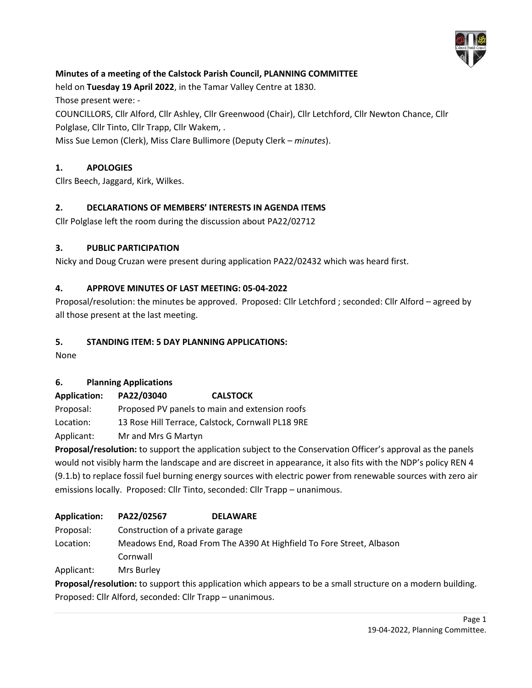

# **Minutes of a meeting of the Calstock Parish Council, PLANNING COMMITTEE**

held on **Tuesday 19 April 2022**, in the Tamar Valley Centre at 1830.

Those present were: -

COUNCILLORS, Cllr Alford, Cllr Ashley, Cllr Greenwood (Chair), Cllr Letchford, Cllr Newton Chance, Cllr Polglase, Cllr Tinto, Cllr Trapp, Cllr Wakem, .

Miss Sue Lemon (Clerk), Miss Clare Bullimore (Deputy Clerk – *minutes*).

# **1. APOLOGIES**

Cllrs Beech, Jaggard, Kirk, Wilkes.

## **2. DECLARATIONS OF MEMBERS' INTERESTS IN AGENDA ITEMS**

Cllr Polglase left the room during the discussion about PA22/02712

#### **3. PUBLIC PARTICIPATION**

Nicky and Doug Cruzan were present during application PA22/02432 which was heard first.

#### **4. APPROVE MINUTES OF LAST MEETING: 05-04-2022**

Proposal/resolution: the minutes be approved. Proposed: Cllr Letchford ; seconded: Cllr Alford – agreed by all those present at the last meeting.

#### **5. STANDING ITEM: 5 DAY PLANNING APPLICATIONS:**

None

## **6. Planning Applications**

**Application: PA22/03040 CALSTOCK**

Proposal: Proposed PV panels to main and extension roofs

Location: 13 Rose Hill Terrace, Calstock, Cornwall PL18 9RE

Applicant: Mr and Mrs G Martyn

**Proposal/resolution:** to support the application subject to the Conservation Officer's approval as the panels would not visibly harm the landscape and are discreet in appearance, it also fits with the NDP's policy REN 4 (9.1.b) to replace fossil fuel burning energy sources with electric power from renewable sources with zero air emissions locally. Proposed: Cllr Tinto, seconded: Cllr Trapp – unanimous.

| <b>Application:</b> | PA22/02567                                                           | <b>DELAWARE</b> |  |
|---------------------|----------------------------------------------------------------------|-----------------|--|
| Proposal:           | Construction of a private garage                                     |                 |  |
| Location:           | Meadows End, Road From The A390 At Highfield To Fore Street, Albason |                 |  |
|                     | Cornwall                                                             |                 |  |
| Applicant:          | Mrs Burley                                                           |                 |  |

**Proposal/resolution:** to support this application which appears to be a small structure on a modern building. Proposed: Cllr Alford, seconded: Cllr Trapp – unanimous.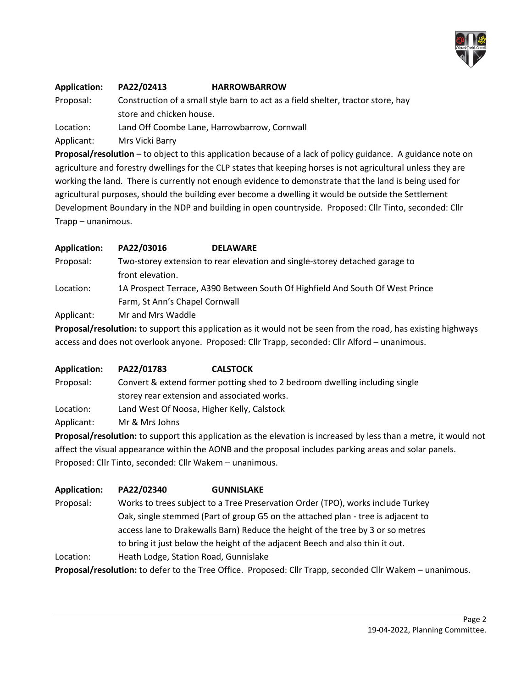

#### **Application: PA22/02413 HARROWBARROW**

Proposal: Construction of a small style barn to act as a field shelter, tractor store, hay store and chicken house.

Location: Land Off Coombe Lane, Harrowbarrow, Cornwall

Applicant: Mrs Vicki Barry

**Proposal/resolution** – to object to this application because of a lack of policy guidance. A guidance note on agriculture and forestry dwellings for the CLP states that keeping horses is not agricultural unless they are working the land. There is currently not enough evidence to demonstrate that the land is being used for agricultural purposes, should the building ever become a dwelling it would be outside the Settlement Development Boundary in the NDP and building in open countryside. Proposed: Cllr Tinto, seconded: Cllr Trapp – unanimous.

| <b>Application:</b> | PA22/03016                                                                    | <b>DELAWARE</b>                                                                                                |  |
|---------------------|-------------------------------------------------------------------------------|----------------------------------------------------------------------------------------------------------------|--|
| Proposal:           | Two-storey extension to rear elevation and single-storey detached garage to   |                                                                                                                |  |
|                     | front elevation.                                                              |                                                                                                                |  |
| Location:           | 1A Prospect Terrace, A390 Between South Of Highfield And South Of West Prince |                                                                                                                |  |
|                     | Farm, St Ann's Chapel Cornwall                                                |                                                                                                                |  |
| Applicant:          | Mr and Mrs Waddle                                                             |                                                                                                                |  |
|                     |                                                                               | <b>Dronosal/rosolution:</b> to support this application as it would not be seen from the road, bas existing bi |  |

**Proposal/resolution:** to support this application as it would not be seen from the road, has existing highways access and does not overlook anyone. Proposed: Cllr Trapp, seconded: Cllr Alford – unanimous.

**Application: PA22/01783 CALSTOCK** Proposal: Convert & extend former potting shed to 2 bedroom dwelling including single storey rear extension and associated works. Location: Land West Of Noosa, Higher Kelly, Calstock

Applicant: Mr & Mrs Johns

**Proposal/resolution:** to support this application as the elevation is increased by less than a metre, it would not affect the visual appearance within the AONB and the proposal includes parking areas and solar panels. Proposed: Cllr Tinto, seconded: Cllr Wakem – unanimous.

- **Application: PA22/02340 GUNNISLAKE**
- Proposal: Works to trees subject to a Tree Preservation Order (TPO), works include Turkey Oak, single stemmed (Part of group G5 on the attached plan - tree is adjacent to access lane to Drakewalls Barn) Reduce the height of the tree by 3 or so metres to bring it just below the height of the adjacent Beech and also thin it out.
- Location: Heath Lodge, Station Road, Gunnislake

**Proposal/resolution:** to defer to the Tree Office. Proposed: Cllr Trapp, seconded Cllr Wakem – unanimous.